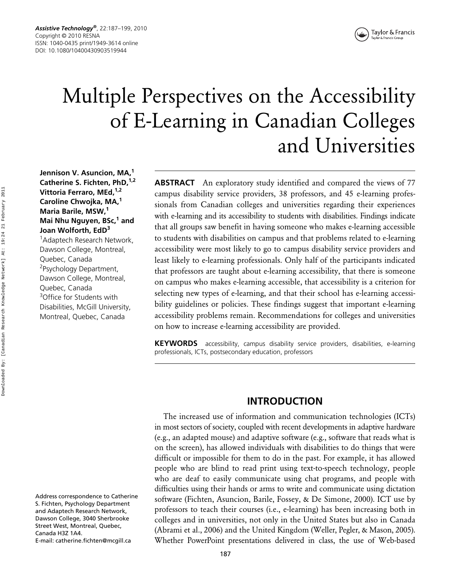

# Multiple Perspectives on the Accessibility of E-Learning in Canadian Colleges and Universities

Jennison V. Asuncion, MA,<sup>1</sup> **Catherine S. Fichten, PhD,1,2 Vittoria Ferraro, MEd,1,2 Caroline Chwojka, MA,<sup>1</sup> Maria Barile, MSW,<sup>1</sup> Mai Nhu Nguyen, BSc,<sup>1</sup> and Joan Wolforth, EdD<sup>3</sup>**

<sup>1</sup> Adaptech Research Network, Dawson College, Montreal, Quebec, Canada <sup>2</sup>Psychology Department, Dawson College, Montreal, Quebec, Canada <sup>3</sup>Office for Students with Disabilities, McGill University, Montreal, Quebec, Canada

Address correspondence to Catherine S. Fichten, Psychology Department and Adaptech Research Network, Dawson College, 3040 Sherbrooke Street West, Montreal, Quebec, Canada H3Z 1A4. E-mail: catherine.fichten@mcgill.ca

**ABSTRACT** An exploratory study identified and compared the views of 77 campus disability service providers, 38 professors, and 45 e-learning professionals from Canadian colleges and universities regarding their experiences with e-learning and its accessibility to students with disabilities. Findings indicate that all groups saw benefit in having someone who makes e-learning accessible to students with disabilities on campus and that problems related to e-learning accessibility were most likely to go to campus disability service providers and least likely to e-learning professionals. Only half of the participants indicated that professors are taught about e-learning accessibility, that there is someone on campus who makes e-learning accessible, that accessibility is a criterion for selecting new types of e-learning, and that their school has e-learning accessibility guidelines or policies. These findings suggest that important e-learning accessibility problems remain. Recommendations for colleges and universities on how to increase e-learning accessibility are provided.

**KEYWORDS** accessibility, campus disability service providers, disabilities, e-learning professionals, ICTs, postsecondary education, professors

#### **INTRODUCTION**

The increased use of information and communication technologies (ICTs) in most sectors of society, coupled with recent developments in adaptive hardware (e.g., an adapted mouse) and adaptive software (e.g., software that reads what is on the screen), has allowed individuals with disabilities to do things that were difficult or impossible for them to do in the past. For example, it has allowed people who are blind to read print using text-to-speech technology, people who are deaf to easily communicate using chat programs, and people with difficulties using their hands or arms to write and communicate using dictation software (Fichten, Asuncion, Barile, Fossey, & De Simone, 2000). ICT use by professors to teach their courses (i.e., e-learning) has been increasing both in colleges and in universities, not only in the United States but also in Canada (Abrami et al., 2006) and the United Kingdom (Weller, Pegler, & Mason, 2005). Whether PowerPoint presentations delivered in class, the use of Web-based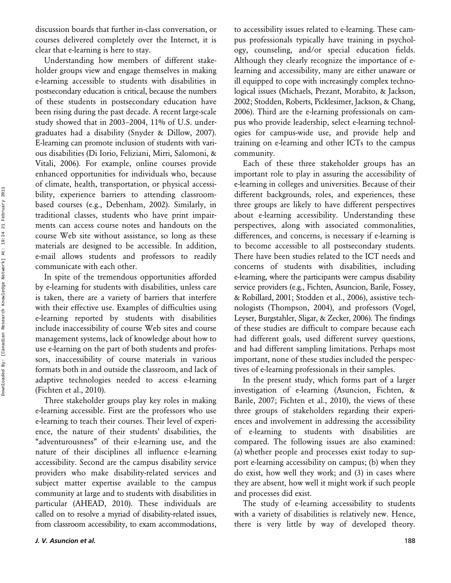discussion boards that further in-class conversation, or courses delivered completely over the Internet, it is clear that e-learning is here to stay.

Understanding how members of different stakeholder groups view and engage themselves in making e-learning accessible to students with disabilities in postsecondary education is critical, because the numbers of these students in postsecondary education have been rising during the past decade. A recent large-scale study showed that in 2003–2004, 11% of U.S. undergraduates had a disability (Snyder & Dillow, 2007). E-learning can promote inclusion of students with various disabilities (Di Iorio, Feliziani, Mirri, Salomoni, & Vitali, 2006). For example, online courses provide enhanced opportunities for individuals who, because of climate, health, transportation, or physical accessibility, experience barriers to attending classroombased courses (e.g., Debenham, 2002). Similarly, in traditional classes, students who have print impairments can access course notes and handouts on the course Web site without assistance, so long as these materials are designed to be accessible. In addition, e-mail allows students and professors to readily communicate with each other.

In spite of the tremendous opportunities afforded by e-learning for students with disabilities, unless care is taken, there are a variety of barriers that interfere with their effective use. Examples of difficulties using e-learning reported by students with disabilities include inaccessibility of course Web sites and course management systems, lack of knowledge about how to use e-learning on the part of both students and professors, inaccessibility of course materials in various formats both in and outside the classroom, and lack of adaptive technologies needed to access e-learning (Fichten et al., 2010).

Three stakeholder groups play key roles in making e-learning accessible. First are the professors who use e-learning to teach their courses. Their level of experience, the nature of their students' disabilities, the "adventurousness" of their e-learning use, and the nature of their disciplines all influence e-learning accessibility. Second are the campus disability service providers who make disability-related services and subject matter expertise available to the campus community at large and to students with disabilities in particular (AHEAD, 2010). These individuals are called on to resolve a myriad of disability-related issues, from classroom accessibility, to exam accommodations, to accessibility issues related to e-learning. These campus professionals typically have training in psychology, counseling, and/or special education fields. Although they clearly recognize the importance of elearning and accessibility, many are either unaware or ill equipped to cope with increasingly complex technological issues (Michaels, Prezant, Morabito, & Jackson, 2002; Stodden, Roberts, Picklesimer, Jackson, & Chang, 2006). Third are the e-learning professionals on campus who provide leadership, select e-learning technologies for campus-wide use, and provide help and training on e-learning and other ICTs to the campus community.

Each of these three stakeholder groups has an important role to play in assuring the accessibility of e-learning in colleges and universities. Because of their different backgrounds, roles, and experiences, these three groups are likely to have different perspectives about e-learning accessibility. Understanding these perspectives, along with associated commonalities, differences, and concerns, is necessary if e-learning is to become accessible to all postsecondary students. There have been studies related to the ICT needs and concerns of students with disabilities, including e-learning, where the participants were campus disability service providers (e.g., Fichten, Asuncion, Barile, Fossey, & Robillard, 2001; Stodden et al., 2006), assistive technologists (Thompson, 2004), and professors (Vogel, Leyser, Burgstahler, Sligar, & Zecker, 2006). The findings of these studies are difficult to compare because each had different goals, used different survey questions, and had different sampling limitations. Perhaps most important, none of these studies included the perspectives of e-learning professionals in their samples.

In the present study, which forms part of a larger investigation of e-learning (Asuncion, Fichten, & Barile, 2007; Fichten et al., 2010), the views of these three groups of stakeholders regarding their experiences and involvement in addressing the accessibility of e-learning to students with disabilities are compared. The following issues are also examined: (a) whether people and processes exist today to support e-learning accessibility on campus; (b) when they do exist, how well they work; and (3) in cases where they are absent, how well it might work if such people and processes did exist.

The study of e-learning accessibility to students with a variety of disabilities is relatively new. Hence, there is very little by way of developed theory.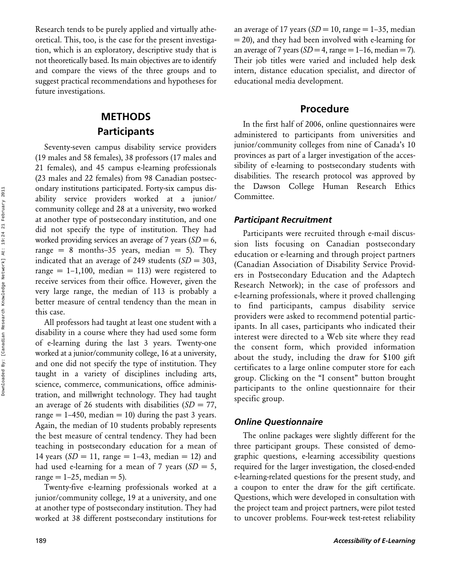Research tends to be purely applied and virtually atheoretical. This, too, is the case for the present investigation, which is an exploratory, descriptive study that is not theoretically based. Its main objectives are to identify and compare the views of the three groups and to suggest practical recommendations and hypotheses for future investigations.

# **METHODS Participants**

Seventy-seven campus disability service providers (19 males and 58 females), 38 professors (17 males and 21 females), and 45 campus e-learning professionals (23 males and 22 females) from 98 Canadian postsecondary institutions participated. Forty-six campus disability service providers worked at a junior/ community college and 28 at a university, two worked at another type of postsecondary institution, and one did not specify the type of institution. They had worked providing services an average of 7 years  $(SD = 6,$ range = 8 months-35 years, median = 5). They indicated that an average of 249 students  $(SD = 303,$ range =  $1-1,100$ , median = 113) were registered to receive services from their office. However, given the very large range, the median of 113 is probably a better measure of central tendency than the mean in this case.

All professors had taught at least one student with a disability in a course where they had used some form of e-learning during the last 3 years. Twenty-one worked at a junior/community college, 16 at a university, and one did not specify the type of institution. They taught in a variety of disciplines including arts, science, commerce, communications, office administration, and millwright technology. They had taught an average of 26 students with disabilities  $(SD = 77,$ range  $= 1-450$ , median  $= 10$ ) during the past 3 years. Again, the median of 10 students probably represents the best measure of central tendency. They had been teaching in postsecondary education for a mean of 14 years  $(SD = 11$ , range = 1-43, median = 12) and had used e-learning for a mean of 7 years  $(SD = 5,$ range  $= 1-25$ , median  $= 5$ ).

Twenty-five e-learning professionals worked at a junior/community college, 19 at a university, and one at another type of postsecondary institution. They had worked at 38 different postsecondary institutions for an average of 17 years  $(SD = 10$ , range  $= 1-35$ , median  $= 20$ ), and they had been involved with e-learning for an average of 7 years  $(SD = 4, \text{range} = 1-16, \text{median} = 7)$ . Their job titles were varied and included help desk intern, distance education specialist, and director of educational media development.

#### **Procedure**

In the first half of 2006, online questionnaires were administered to participants from universities and junior/community colleges from nine of Canada's 10 provinces as part of a larger investigation of the accessibility of e-learning to postsecondary students with disabilities. The research protocol was approved by the Dawson College Human Research Ethics Committee.

#### *Participant Recruitment*

Participants were recruited through e-mail discussion lists focusing on Canadian postsecondary education or e-learning and through project partners (Canadian Association of Disability Service Providers in Postsecondary Education and the Adaptech Research Network); in the case of professors and e-learning professionals, where it proved challenging to find participants, campus disability service providers were asked to recommend potential participants. In all cases, participants who indicated their interest were directed to a Web site where they read the consent form, which provided information about the study, including the draw for \$100 gift certificates to a large online computer store for each group. Clicking on the "I consent" button brought participants to the online questionnaire for their specific group.

#### *Online Questionnaire*

The online packages were slightly different for the three participant groups. These consisted of demographic questions, e-learning accessibility questions required for the larger investigation, the closed-ended e-learning-related questions for the present study, and a coupon to enter the draw for the gift certificate. Questions, which were developed in consultation with the project team and project partners, were pilot tested to uncover problems. Four-week test-retest reliability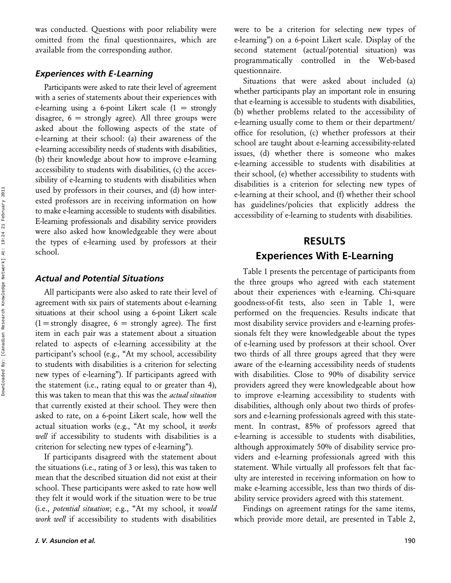was conducted. Questions with poor reliability were omitted from the final questionnaires, which are available from the corresponding author.

#### *Experiences with E-Learning*

Participants were asked to rate their level of agreement with a series of statements about their experiences with e-learning using a 6-point Likert scale  $(1 =$  strongly disagree,  $6 =$  strongly agree). All three groups were asked about the following aspects of the state of e-learning at their school: (a) their awareness of the e-learning accessibility needs of students with disabilities, (b) their knowledge about how to improve e-learning accessibility to students with disabilities, (c) the accessibility of e-learning to students with disabilities when used by professors in their courses, and (d) how interested professors are in receiving information on how to make e-learning accessible to students with disabilities. E-learning professionals and disability service providers were also asked how knowledgeable they were about the types of e-learning used by professors at their school.

#### *Actual and Potential Situations*

All participants were also asked to rate their level of agreement with six pairs of statements about e-learning situations at their school using a 6-point Likert scale  $(1 =$  strongly disagree,  $6 =$  strongly agree). The first item in each pair was a statement about a situation related to aspects of e-learning accessibility at the participant's school (e.g., "At my school, accessibility to students with disabilities is a criterion for selecting new types of e-learning"). If participants agreed with the statement (i.e., rating equal to or greater than 4), this was taken to mean that this was the *actual situation* that currently existed at their school. They were then asked to rate, on a 6-point Likert scale, how well the actual situation works (e.g., "At my school, it *works well* if accessibility to students with disabilities is a criterion for selecting new types of e-learning").

If participants disagreed with the statement about the situations (i.e., rating of 3 or less), this was taken to mean that the described situation did not exist at their school. These participants were asked to rate how well they felt it would work if the situation were to be true (i.e., *potential situation*; e.g., "At my school, it *would work well* if accessibility to students with disabilities

were to be a criterion for selecting new types of e-learning") on a 6-point Likert scale. Display of the second statement (actual/potential situation) was programmatically controlled in the Web-based questionnaire.

Situations that were asked about included (a) whether participants play an important role in ensuring that e-learning is accessible to students with disabilities, (b) whether problems related to the accessibility of e-learning usually come to them or their department/ office for resolution, (c) whether professors at their school are taught about e-learning accessibility-related issues, (d) whether there is someone who makes e-learning accessible to students with disabilities at their school, (e) whether accessibility to students with disabilities is a criterion for selecting new types of e-learning at their school, and (f) whether their school has guidelines/policies that explicitly address the accessibility of e-learning to students with disabilities.

# **RESULTS Experiences With E-Learning**

Table 1 presents the percentage of participants from the three groups who agreed with each statement about their experiences with e-learning. Chi-square goodness-of-fit tests, also seen in Table 1, were performed on the frequencies. Results indicate that most disability service providers and e-learning professionals felt they were knowledgeable about the types of e-learning used by professors at their school. Over two thirds of all three groups agreed that they were aware of the e-learning accessibility needs of students with disabilities. Close to 90% of disability service providers agreed they were knowledgeable about how to improve e-learning accessibility to students with disabilities, although only about two thirds of professors and e-learning professionals agreed with this statement. In contrast, 85% of professors agreed that e-learning is accessible to students with disabilities, although approximately 50% of disability service providers and e-learning professionals agreed with this statement. While virtually all professors felt that faculty are interested in receiving information on how to make e-learning accessible, less than two thirds of disability service providers agreed with this statement.

Findings on agreement ratings for the same items, which provide more detail, are presented in Table 2,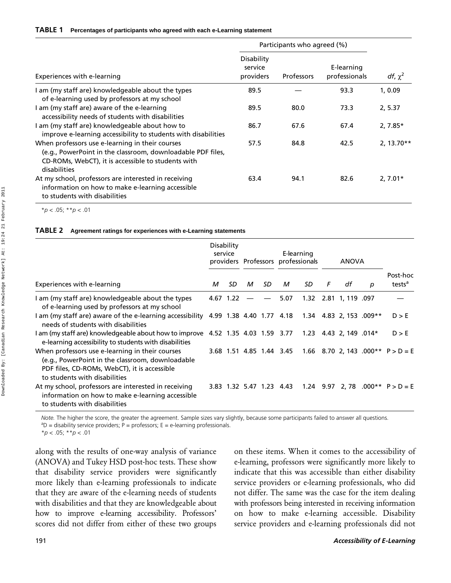#### **TABLE 1 Percentages of participants who agreed with each e-Learning statement**

|                                                                                                                                                                                      |                                    | Participants who agreed (%) |                             |              |
|--------------------------------------------------------------------------------------------------------------------------------------------------------------------------------------|------------------------------------|-----------------------------|-----------------------------|--------------|
| Experiences with e-learning                                                                                                                                                          | Disability<br>service<br>providers | <b>Professors</b>           | E-learning<br>professionals | df, $\chi^2$ |
| I am (my staff are) knowledgeable about the types<br>of e-learning used by professors at my school                                                                                   | 89.5                               |                             | 93.3                        | 1, 0.09      |
| I am (my staff are) aware of the e-learning<br>accessibility needs of students with disabilities                                                                                     | 89.5                               | 80.0                        | 73.3                        | 2, 5.37      |
| I am (my staff are) knowledgeable about how to<br>improve e-learning accessibility to students with disabilities                                                                     | 86.7                               | 67.6                        | 67.4                        | $2, 7.85*$   |
| When professors use e-learning in their courses<br>(e.g., PowerPoint in the classroom, downloadable PDF files,<br>CD-ROMs, WebCT), it is accessible to students with<br>disabilities | 57.5                               | 84.8                        | 42.5                        | $2.13.70**$  |
| At my school, professors are interested in receiving<br>information on how to make e-learning accessible<br>to students with disabilities                                            | 63.4                               | 94.1                        | 82.6                        | $2, 7.01*$   |

\**p* < .05; \*\**p* < .01

#### **TABLE 2 Agreement ratings for experiences with e-Learning statements**

|                                                                                                                                                                                      |   | Disability<br>service |   |     |                          | E-learning<br>providers Professors professionals |   | <b>ANOVA</b>     |   |                                    |
|--------------------------------------------------------------------------------------------------------------------------------------------------------------------------------------|---|-----------------------|---|-----|--------------------------|--------------------------------------------------|---|------------------|---|------------------------------------|
| Experiences with e-learning                                                                                                                                                          | м | SD                    | м | SD. | м                        | SD                                               | F | df               | р | Post-hoc<br>tests <sup>a</sup>     |
| I am (my staff are) knowledgeable about the types<br>of e-learning used by professors at my school                                                                                   |   | 4.67 1.22             |   |     | 5.07                     | 1.32                                             |   | 2.81 1, 119 .097 |   |                                    |
| 1 am (my staff are) aware of the e-learning accessibility 4.99 1.38 4.40 1.77 4.18 1.34 4.83 2, 153 .009**<br>needs of students with disabilities                                    |   |                       |   |     |                          |                                                  |   |                  |   | D > E                              |
| *014. 014. 1.23 A.43 2, 149 Arowledgeable about how to improve 4.52 1.35 4.03 1.59 3.77 1.23 4.43 2, 149<br>e-learning accessibility to students with disabilities                   |   |                       |   |     |                          |                                                  |   |                  |   | D > E                              |
| When professors use e-learning in their courses<br>(e.g., PowerPoint in the classroom, downloadable<br>PDF files, CD-ROMs, WebCT), it is accessible<br>to students with disabilities |   |                       |   |     | 3.68 1.51 4.85 1.44 3.45 |                                                  |   |                  |   | 1.66 8.70 2.143 .000** $P > D = E$ |
| At my school, professors are interested in receiving<br>information on how to make e-learning accessible<br>to students with disabilities                                            |   |                       |   |     | 3.83 1.32 5.47 1.23 4.43 |                                                  |   |                  |   | 1.24 9.97 2.78 .000** $P > D = E$  |

*Note.* The higher the score, the greater the agreement. Sample sizes vary slightly, because some participants failed to answer all questions.

 ${}^{a}D$  = disability service providers; P = professors; E = e-learning professionals.

\**p* < .05; \*\**p* < .01

along with the results of one-way analysis of variance (ANOVA) and Tukey HSD post-hoc tests. These show that disability service providers were significantly more likely than e-learning professionals to indicate that they are aware of the e-learning needs of students with disabilities and that they are knowledgeable about how to improve e-learning accessibility. Professors' scores did not differ from either of these two groups on these items. When it comes to the accessibility of e-learning, professors were significantly more likely to indicate that this was accessible than either disability service providers or e-learning professionals, who did not differ. The same was the case for the item dealing with professors being interested in receiving information on how to make e-learning accessible. Disability service providers and e-learning professionals did not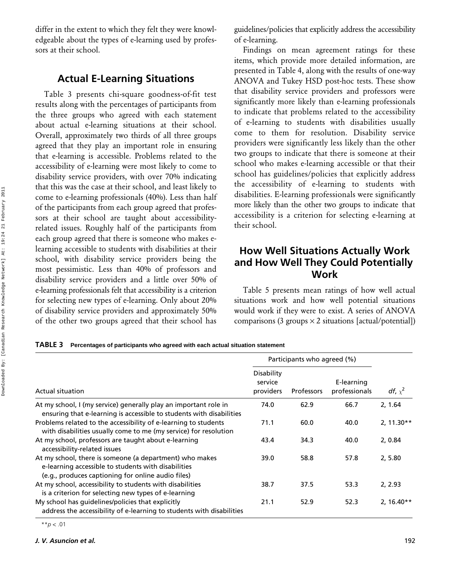differ in the extent to which they felt they were knowledgeable about the types of e-learning used by professors at their school.

## **Actual E-Learning Situations**

Table 3 presents chi-square goodness-of-fit test results along with the percentages of participants from the three groups who agreed with each statement about actual e-learning situations at their school. Overall, approximately two thirds of all three groups agreed that they play an important role in ensuring that e-learning is accessible. Problems related to the accessibility of e-learning were most likely to come to disability service providers, with over 70% indicating that this was the case at their school, and least likely to come to e-learning professionals (40%). Less than half of the participants from each group agreed that professors at their school are taught about accessibilityrelated issues. Roughly half of the participants from each group agreed that there is someone who makes elearning accessible to students with disabilities at their school, with disability service providers being the most pessimistic. Less than 40% of professors and disability service providers and a little over 50% of e-learning professionals felt that accessibility is a criterion for selecting new types of e-learning. Only about 20% of disability service providers and approximately 50% of the other two groups agreed that their school has

guidelines/policies that explicitly address the accessibility of e-learning.

Findings on mean agreement ratings for these items, which provide more detailed information, are presented in Table 4, along with the results of one-way ANOVA and Tukey HSD post-hoc tests. These show that disability service providers and professors were significantly more likely than e-learning professionals to indicate that problems related to the accessibility of e-learning to students with disabilities usually come to them for resolution. Disability service providers were significantly less likely than the other two groups to indicate that there is someone at their school who makes e-learning accessible or that their school has guidelines/policies that explicitly address the accessibility of e-learning to students with disabilities. E-learning professionals were significantly more likely than the other two groups to indicate that accessibility is a criterion for selecting e-learning at their school.

## **How Well Situations Actually Work and How Well They Could Potentially Work**

Table 5 presents mean ratings of how well actual situations work and how well potential situations would work if they were to exist. A series of ANOVA comparisons (3 groups  $\times$  2 situations [actual/potential])

**TABLE 3 Percentages of participants who agreed with each actual situation statement**

|                                                                                                                                                                      |                                    | Participants who agreed (%) |                             |              |
|----------------------------------------------------------------------------------------------------------------------------------------------------------------------|------------------------------------|-----------------------------|-----------------------------|--------------|
| <b>Actual situation</b>                                                                                                                                              | Disability<br>service<br>providers | <b>Professors</b>           | E-learning<br>professionals | df, $\chi^2$ |
| At my school, I (my service) generally play an important role in<br>ensuring that e-learning is accessible to students with disabilities                             | 74.0                               | 62.9                        | 66.7                        | 2, 1.64      |
| Problems related to the accessibility of e-learning to students<br>with disabilities usually come to me (my service) for resolution                                  | 71.1                               | 60.0                        | 40.0                        | $2.11.30**$  |
| At my school, professors are taught about e-learning<br>accessibility-related issues                                                                                 | 43.4                               | 34.3                        | 40.0                        | 2, 0.84      |
| At my school, there is someone (a department) who makes<br>e-learning accessible to students with disabilities<br>(e.g., produces captioning for online audio files) | 39.0                               | 58.8                        | 57.8                        | 2, 5.80      |
| At my school, accessibility to students with disabilities<br>is a criterion for selecting new types of e-learning                                                    | 38.7                               | 37.5                        | 53.3                        | 2, 2.93      |
| My school has guidelines/policies that explicitly<br>address the accessibility of e-learning to students with disabilities                                           | 21.1                               | 52.9                        | 52.3                        | 2, $16.40**$ |

<sup>\*\*</sup>*p* < .01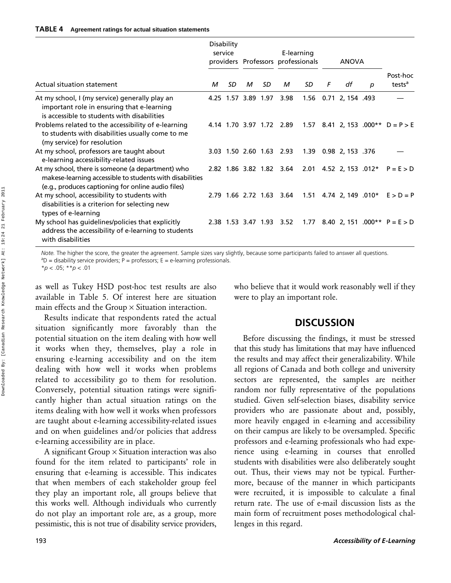|                                                                                                                                                                     |   | Disability<br>service |   |                     |                          | E-learning<br>providers Professors professionals |   | <b>ANOVA</b>             |   |                                     |
|---------------------------------------------------------------------------------------------------------------------------------------------------------------------|---|-----------------------|---|---------------------|--------------------------|--------------------------------------------------|---|--------------------------|---|-------------------------------------|
| Actual situation statement                                                                                                                                          | м | SD                    | м | SD                  | М                        | SD                                               | F | df                       | р | Post-hoc<br>tests <sup>a</sup>      |
| At my school, I (my service) generally play an<br>important role in ensuring that e-learning<br>is accessible to students with disabilities                         |   |                       |   | 4.25 1.57 3.89 1.97 | 3.98                     | 1.56                                             |   | 0.71 2, 154 .493         |   |                                     |
| Problems related to the accessibility of e-learning<br>to students with disabilities usually come to me<br>(my service) for resolution                              |   |                       |   |                     | 4.14 1.70 3.97 1.72 2.89 |                                                  |   |                          |   | 1.57 8.41 2, 153 .000** $D = P > E$ |
| At my school, professors are taught about<br>e-learning accessibility-related issues                                                                                |   |                       |   |                     | 3.03 1.50 2.60 1.63 2.93 |                                                  |   | 1.39 0.98 2, 153 .376    |   |                                     |
| At my school, there is someone (a department) who<br>makese-learning accessible to students with disabilities<br>(e.g., produces captioning for online audio files) |   |                       |   |                     | 2.82 1.86 3.82 1.82 3.64 |                                                  |   | $2.01$ 4.52 2, 153 .012* |   | $P = E > D$                         |
| At my school, accessibility to students with<br>disabilities is a criterion for selecting new<br>types of e-learning                                                |   |                       |   |                     | 2.79 1.66 2.72 1.63 3.64 |                                                  |   |                          |   | 1.51 4.74 2, 149 .010* $E > D = P$  |
| My school has guidelines/policies that explicitly<br>address the accessibility of e-learning to students<br>with disabilities                                       |   |                       |   |                     | 2.38 1.53 3.47 1.93 3.52 |                                                  |   |                          |   | 1.77 8.40 2, 151 .000** $P = E > D$ |

*Note.* The higher the score, the greater the agreement. Sample sizes vary slightly, because some participants failed to answer all questions.

 ${}^{a}D$  = disability service providers; P = professors; E = e-learning professionals.

\**p* < .05; \*\**p* < .01

as well as Tukey HSD post-hoc test results are also available in Table 5. Of interest here are situation main effects and the Group  $\times$  Situation interaction.

Results indicate that respondents rated the actual situation significantly more favorably than the potential situation on the item dealing with how well it works when they, themselves, play a role in ensuring e-learning accessibility and on the item dealing with how well it works when problems related to accessibility go to them for resolution. Conversely, potential situation ratings were significantly higher than actual situation ratings on the items dealing with how well it works when professors are taught about e-learning accessibility-related issues and on when guidelines and/or policies that address e-learning accessibility are in place.

A significant Group  $\times$  Situation interaction was also found for the item related to participants' role in ensuring that e-learning is accessible. This indicates that when members of each stakeholder group feel they play an important role, all groups believe that this works well. Although individuals who currently do not play an important role are, as a group, more pessimistic, this is not true of disability service providers, who believe that it would work reasonably well if they were to play an important role.

#### **DISCUSSION**

Before discussing the findings, it must be stressed that this study has limitations that may have influenced the results and may affect their generalizability. While all regions of Canada and both college and university sectors are represented, the samples are neither random nor fully representative of the populations studied. Given self-selection biases, disability service providers who are passionate about and, possibly, more heavily engaged in e-learning and accessibility on their campus are likely to be oversampled. Specific professors and e-learning professionals who had experience using e-learning in courses that enrolled students with disabilities were also deliberately sought out. Thus, their views may not be typical. Furthermore, because of the manner in which participants were recruited, it is impossible to calculate a final return rate. The use of e-mail discussion lists as the main form of recruitment poses methodological challenges in this regard.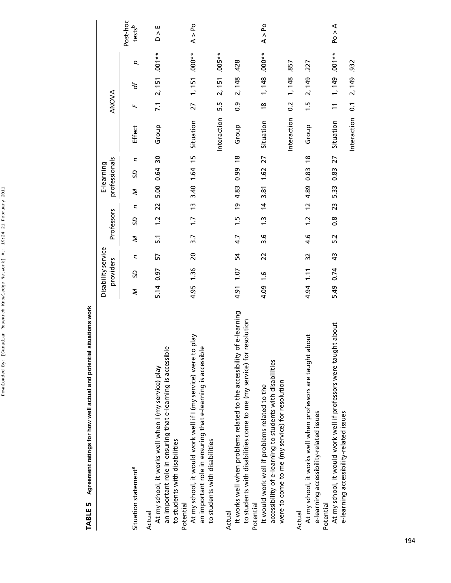| $\frac{1}{2}$<br>$\frac{1}{2}$ |
|--------------------------------|
| ś<br>ׇ֚֘֡<br>İ<br>l            |
| i                              |
| ׇׇ֓֡<br>ׇ֚֘֡                   |
| $\vdots$                       |
|                                |
| ١<br>١<br>l                    |
| ׇ֓֕֡                           |
|                                |
| ׇ֚֘֕֡                          |
| ׇ֚֬֡                           |

TABLE 5 Agreement ratings for how well actual and potential situations work **TABLE 5 Agreement ratings for how well actual and potential situations work**

|                                                                                                                                                                                 |          | Disability service<br>providers |                |                  | Professors       |                 | professionals<br>E-learning |                        |                  | ANOVA  |               |                                |
|---------------------------------------------------------------------------------------------------------------------------------------------------------------------------------|----------|---------------------------------|----------------|------------------|------------------|-----------------|-----------------------------|------------------------|------------------|--------|---------------|--------------------------------|
| Situation statement <sup>a</sup>                                                                                                                                                | Z        | SD                              | c              | Z                | SD               | C               | SD<br>Ż                     | Effect<br>C            | ц.               | ď      | p             | Post-hoc<br>tests <sup>b</sup> |
| an important role in ensuring that e-learning is accessible<br>At my school, it works well when I (my service) play<br>to students with disabilities<br>Actual                  | 5.14     | 0.97                            | 57             | 5.1              | 1.2              | $\overline{2}$  | 0.64<br>5.00                | Group<br>50            | $\overline{7.1}$ | 2, 151 | $.001**$      | ш<br>$\overline{\wedge}$       |
| yeld<br>an important role in ensuring that e-learning is accessible<br>At my school, it would work well if I (my service) were to<br>to students with disabilities<br>Potential | 4.95     | 1.36                            | $\overline{c}$ | $\overline{3.7}$ | $\overline{1}$ . | $\frac{1}{2}$   | 3.40 1.64 15                | Situation              | 27               | 1, 151 | $.000**$      | A > Po                         |
|                                                                                                                                                                                 |          |                                 |                |                  |                  |                 |                             | Interaction            | 5.5              | 2, 151 | $005**$       |                                |
| It works well when problems related to the accessibility of e-learning<br>to students with disabilities come to me (my service) for resolution<br>Actual                        |          | 4.91 1.07                       | 54             | 4.7              | 1.5 19 4.83      |                 | 0.99                        | Group<br>$\frac{8}{2}$ | 0.9              | 2, 148 | 428           |                                |
| accessibility of e-learning to students with disabilities<br>It would work well if problems related to the<br>Potential                                                         | 4.09 1.6 |                                 | $\overline{2}$ | 3.6              | $\frac{1}{3}$    |                 | 14 3.81 1.62 27             | Situation              | $\frac{8}{18}$   | 1, 148 | $.000*$       | A > Po                         |
| were to come to me (my service) for resolution                                                                                                                                  |          |                                 |                |                  |                  |                 |                             | Interaction            | 0.2              | 1, 148 | .857          |                                |
| Actual                                                                                                                                                                          |          |                                 |                |                  |                  |                 |                             |                        |                  |        |               |                                |
| At my school, it works well when professors are taught about<br>e-learning accessibility-related issues<br>Potential                                                            | 4.94     | 1.11                            | 32             | 4.6              | 1.2              | 12 4.89         | 0.83                        | Group<br>$\frac{8}{2}$ | 1.5              | 2, 149 | 227           |                                |
| At my school, it would work well if professors were taught about<br>e-learning accessibility-related issues                                                                     |          | 5.49 0.74                       | $\frac{3}{2}$  | 5.2              | $\frac{8}{2}$    | $\overline{23}$ | 0.83 27<br>5.33             | Situation              | $\overline{1}$   |        | $1,149.001**$ | $P_{\rm O}$ $>$ $\Delta$       |
|                                                                                                                                                                                 |          |                                 |                |                  |                  |                 |                             | Interaction            | $\overline{0}$   | 2, 149 | .932          |                                |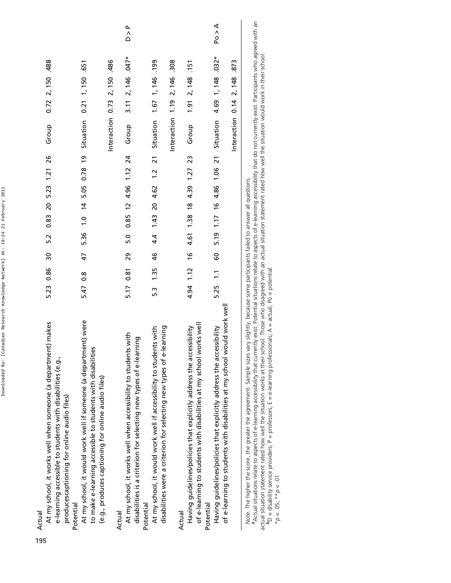|                                                                                                                                                                                                         |                                                                                                                                                                                      |                                 | ם<br>∆                                                                                                                                               |                                                                                                                                               |                                |                                                                                                                                                          | $P_{\rm O} \geq \Delta$                                                                                                                         |                              |
|---------------------------------------------------------------------------------------------------------------------------------------------------------------------------------------------------------|--------------------------------------------------------------------------------------------------------------------------------------------------------------------------------------|---------------------------------|------------------------------------------------------------------------------------------------------------------------------------------------------|-----------------------------------------------------------------------------------------------------------------------------------------------|--------------------------------|----------------------------------------------------------------------------------------------------------------------------------------------------------|-------------------------------------------------------------------------------------------------------------------------------------------------|------------------------------|
| .488<br>0.72 2, 150                                                                                                                                                                                     | .651<br>0.21 1, 150                                                                                                                                                                  | .486<br>Interaction 0.73 2, 150 | $*747*$<br>3.11 2, 146                                                                                                                               | 1.67 1, 146 .199                                                                                                                              | .308<br>nteraction 1.19 2, 146 | $1.91$ $2,148$ .151                                                                                                                                      | $.032*$<br>4.69 1, 148                                                                                                                          | Interaction 0.14 2, 148 .873 |
| Group                                                                                                                                                                                                   | Situation                                                                                                                                                                            |                                 | Group                                                                                                                                                | Situation                                                                                                                                     |                                | Group                                                                                                                                                    | Situation                                                                                                                                       |                              |
| 0.83 20 5.23 1.21 26<br>5.2<br>$\overline{\mathbf{50}}$<br>0.86<br>5.23                                                                                                                                 | $\overline{6}$<br>0.78<br>5.05<br>$\frac{1}{4}$<br>$\frac{0}{1}$<br>5.36<br>47<br>0.8<br>5.47                                                                                        |                                 | $\overline{24}$<br>1.12<br>0.85 12 4.96<br>5.0<br>29<br>0.81<br>5.17                                                                                 | $\overline{21}$<br>$\ddot{ }$ .<br>1.43 20 4.62<br>$4\overline{4}$<br>46<br>1.35<br>5.3                                                       |                                | 23<br>1.27<br>4.61 1.38 18 4.39<br>$\frac{6}{2}$<br>4.94 1.12                                                                                            | $\overline{21}$<br>1.06<br>4.86<br>1.17 16<br>5.19<br>8<br>$\overline{1}$<br>5.25                                                               |                              |
| At my school, it works well when someone (a department) makes<br>e-learning accessible to students with disabilities (e.g.,<br>producescaptioning for online audio files)<br>Potential<br>Actual<br>195 | At my school, it would work well if someone (a department) were<br>to make e-learning accessible to students with disabilities<br>(e.g., produces captioning for online audio files) | Actual                          | with<br>disabilities is a criterion for selecting new types of e-learning<br>At my school, it works well when accessibility to students<br>Potential | arning<br>At my school, it would work well if accessibility to students with<br>disabilities were a criterion for selecting new types of e-le | Actual                         | of e-learning to students with disabilities at my school works well<br>Having guidelines/policies that explicitly address the accessibility<br>Potential | of e-learning to students with disabilities at my school would work wel<br>Having guidelines/policies that explicitly address the accessibility |                              |

*Note*. The higher the score, the greater the agreement. Sample sizes vary slightly, because some participants failed to answer all questions.

Mote. The higher the score, the greater the agreement. Sample sizes vary slightly, because some participants failed to answer all questions.<br><sup>a</sup>Actual situations relate to aspects of e-learning accessibility that currently aActual situations relate to aspects of e-learning accessibility that currently exist. Potential situations relate to aspects of e-learning accessibility that do not currently exist. Participants who agreed with an actual situation statement rated how well the situation works at their school. Those who disagreed with an actual situation statement rated how well the situation would work in their school.<br>PD = disability service provide

\**p* < .05; \*\**p* < .01

195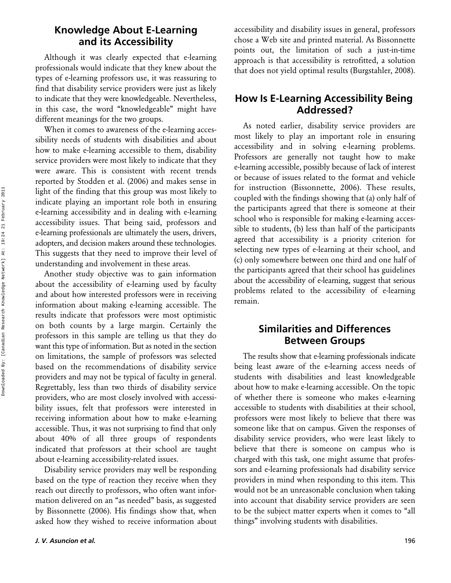## **Knowledge About E-Learning and its Accessibility**

Although it was clearly expected that e-learning professionals would indicate that they knew about the types of e-learning professors use, it was reassuring to find that disability service providers were just as likely to indicate that they were knowledgeable. Nevertheless, in this case, the word "knowledgeable" might have different meanings for the two groups.

When it comes to awareness of the e-learning accessibility needs of students with disabilities and about how to make e-learning accessible to them, disability service providers were most likely to indicate that they were aware. This is consistent with recent trends reported by Stodden et al. (2006) and makes sense in light of the finding that this group was most likely to indicate playing an important role both in ensuring e-learning accessibility and in dealing with e-learning accessibility issues. That being said, professors and e-learning professionals are ultimately the users, drivers, adopters, and decision makers around these technologies. This suggests that they need to improve their level of understanding and involvement in these areas.

Another study objective was to gain information about the accessibility of e-learning used by faculty and about how interested professors were in receiving information about making e-learning accessible. The results indicate that professors were most optimistic on both counts by a large margin. Certainly the professors in this sample are telling us that they do want this type of information. But as noted in the section on limitations, the sample of professors was selected based on the recommendations of disability service providers and may not be typical of faculty in general. Regrettably, less than two thirds of disability service providers, who are most closely involved with accessibility issues, felt that professors were interested in receiving information about how to make e-learning accessible. Thus, it was not surprising to find that only about 40% of all three groups of respondents indicated that professors at their school are taught about e-learning accessibility-related issues.

Disability service providers may well be responding based on the type of reaction they receive when they reach out directly to professors, who often want information delivered on an "as needed" basis, as suggested by Bissonnette (2006). His findings show that, when asked how they wished to receive information about

accessibility and disability issues in general, professors chose a Web site and printed material. As Bissonnette points out, the limitation of such a just-in-time approach is that accessibility is retrofitted, a solution that does not yield optimal results (Burgstahler, 2008).

## **How Is E-Learning Accessibility Being Addressed?**

As noted earlier, disability service providers are most likely to play an important role in ensuring accessibility and in solving e-learning problems. Professors are generally not taught how to make e-learning accessible, possibly because of lack of interest or because of issues related to the format and vehicle for instruction (Bissonnette, 2006). These results, coupled with the findings showing that (a) only half of the participants agreed that there is someone at their school who is responsible for making e-learning accessible to students, (b) less than half of the participants agreed that accessibility is a priority criterion for selecting new types of e-learning at their school, and (c) only somewhere between one third and one half of the participants agreed that their school has guidelines about the accessibility of e-learning, suggest that serious problems related to the accessibility of e-learning remain.

## **Similarities and Differences Between Groups**

The results show that e-learning professionals indicate being least aware of the e-learning access needs of students with disabilities and least knowledgeable about how to make e-learning accessible. On the topic of whether there is someone who makes e-learning accessible to students with disabilities at their school, professors were most likely to believe that there was someone like that on campus. Given the responses of disability service providers, who were least likely to believe that there is someone on campus who is charged with this task, one might assume that professors and e-learning professionals had disability service providers in mind when responding to this item. This would not be an unreasonable conclusion when taking into account that disability service providers are seen to be the subject matter experts when it comes to "all things" involving students with disabilities.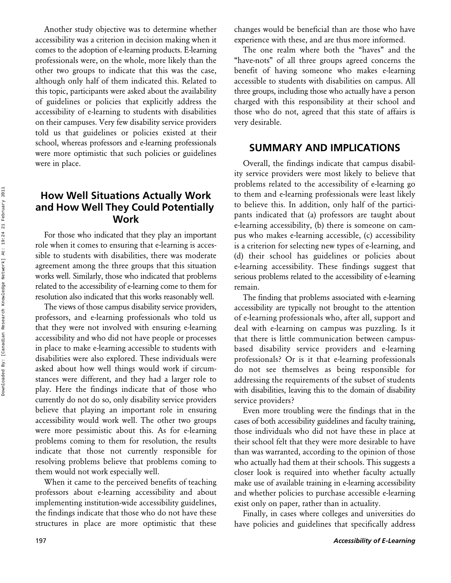Downloaded By: [Canadian Research Knowledge Network] At: 19:24 21 February 2011 Downloaded By: [Canadian Research Knowledge Network] At: 19:24 21 February 2011

Another study objective was to determine whether accessibility was a criterion in decision making when it comes to the adoption of e-learning products. E-learning professionals were, on the whole, more likely than the other two groups to indicate that this was the case, although only half of them indicated this. Related to this topic, participants were asked about the availability of guidelines or policies that explicitly address the accessibility of e-learning to students with disabilities on their campuses. Very few disability service providers told us that guidelines or policies existed at their school, whereas professors and e-learning professionals were more optimistic that such policies or guidelines were in place.

# **How Well Situations Actually Work and How Well They Could Potentially Work**

For those who indicated that they play an important role when it comes to ensuring that e-learning is accessible to students with disabilities, there was moderate agreement among the three groups that this situation works well. Similarly, those who indicated that problems related to the accessibility of e-learning come to them for resolution also indicated that this works reasonably well.

The views of those campus disability service providers, professors, and e-learning professionals who told us that they were not involved with ensuring e-learning accessibility and who did not have people or processes in place to make e-learning accessible to students with disabilities were also explored. These individuals were asked about how well things would work if circumstances were different, and they had a larger role to play. Here the findings indicate that of those who currently do not do so, only disability service providers believe that playing an important role in ensuring accessibility would work well. The other two groups were more pessimistic about this. As for e-learning problems coming to them for resolution, the results indicate that those not currently responsible for resolving problems believe that problems coming to them would not work especially well.

When it came to the perceived benefits of teaching professors about e-learning accessibility and about implementing institution-wide accessibility guidelines, the findings indicate that those who do not have these structures in place are more optimistic that these changes would be beneficial than are those who have experience with these, and are thus more informed.

The one realm where both the "haves" and the "have-nots" of all three groups agreed concerns the benefit of having someone who makes e-learning accessible to students with disabilities on campus. All three groups, including those who actually have a person charged with this responsibility at their school and those who do not, agreed that this state of affairs is very desirable.

## **SUMMARY AND IMPLICATIONS**

Overall, the findings indicate that campus disability service providers were most likely to believe that problems related to the accessibility of e-learning go to them and e-learning professionals were least likely to believe this. In addition, only half of the participants indicated that (a) professors are taught about e-learning accessibility, (b) there is someone on campus who makes e-learning accessible, (c) accessibility is a criterion for selecting new types of e-learning, and (d) their school has guidelines or policies about e-learning accessibility. These findings suggest that serious problems related to the accessibility of e-learning remain.

The finding that problems associated with e-learning accessibility are typically not brought to the attention of e-learning professionals who, after all, support and deal with e-learning on campus was puzzling. Is it that there is little communication between campusbased disability service providers and e-learning professionals? Or is it that e-learning professionals do not see themselves as being responsible for addressing the requirements of the subset of students with disabilities, leaving this to the domain of disability service providers?

Even more troubling were the findings that in the cases of both accessibility guidelines and faculty training, those individuals who did not have these in place at their school felt that they were more desirable to have than was warranted, according to the opinion of those who actually had them at their schools. This suggests a closer look is required into whether faculty actually make use of available training in e-learning accessibility and whether policies to purchase accessible e-learning exist only on paper, rather than in actuality.

Finally, in cases where colleges and universities do have policies and guidelines that specifically address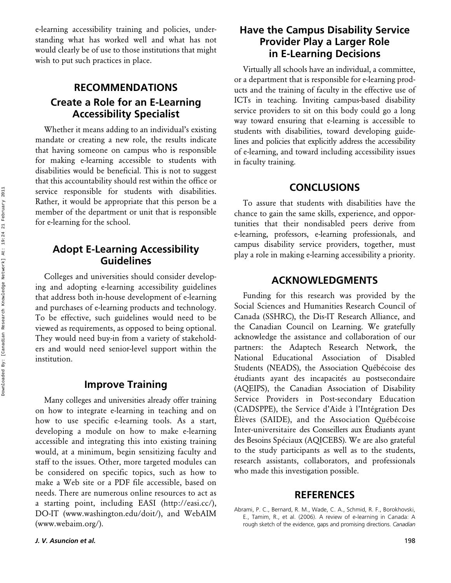e-learning accessibility training and policies, understanding what has worked well and what has not would clearly be of use to those institutions that might wish to put such practices in place.

# **RECOMMENDATIONS Create a Role for an E-Learning Accessibility Specialist**

Whether it means adding to an individual's existing mandate or creating a new role, the results indicate that having someone on campus who is responsible for making e-learning accessible to students with disabilities would be beneficial. This is not to suggest that this accountability should rest within the office or service responsible for students with disabilities. Rather, it would be appropriate that this person be a member of the department or unit that is responsible for e-learning for the school.

## **Adopt E-Learning Accessibility Guidelines**

Colleges and universities should consider developing and adopting e-learning accessibility guidelines that address both in-house development of e-learning and purchases of e-learning products and technology. To be effective, such guidelines would need to be viewed as requirements, as opposed to being optional. They would need buy-in from a variety of stakeholders and would need senior-level support within the institution.

#### **Improve Training**

Many colleges and universities already offer training on how to integrate e-learning in teaching and on how to use specific e-learning tools. As a start, developing a module on how to make e-learning accessible and integrating this into existing training would, at a minimum, begin sensitizing faculty and staff to the issues. Other, more targeted modules can be considered on specific topics, such as how to make a Web site or a PDF file accessible, based on needs. There are numerous online resources to act as a starting point, including EASI (http://easi.cc/), DO-IT (www.washington.edu/doit/), and WebAIM (www.webaim.org/).

## **Have the Campus Disability Service Provider Play a Larger Role in E-Learning Decisions**

Virtually all schools have an individual, a committee, or a department that is responsible for e-learning products and the training of faculty in the effective use of ICTs in teaching. Inviting campus-based disability service providers to sit on this body could go a long way toward ensuring that e-learning is accessible to students with disabilities, toward developing guidelines and policies that explicitly address the accessibility of e-learning, and toward including accessibility issues in faculty training.

#### **CONCLUSIONS**

To assure that students with disabilities have the chance to gain the same skills, experience, and opportunities that their nondisabled peers derive from e-learning, professors, e-learning professionals, and campus disability service providers, together, must play a role in making e-learning accessibility a priority.

#### **ACKNOWLEDGMENTS**

Funding for this research was provided by the Social Sciences and Humanities Research Council of Canada (SSHRC), the Dis-IT Research Alliance, and the Canadian Council on Learning. We gratefully acknowledge the assistance and collaboration of our partners: the Adaptech Research Network, the National Educational Association of Disabled Students (NEADS), the Association Québécoise des étudiants ayant des incapacités au postsecondaire (AQEIPS), the Canadian Association of Disability Service Providers in Post-secondary Education (CADSPPE), the Service d'Aide à l'Intégration Des Élèves (SAIDE), and the Association Québécoise Inter-universitaire des Conseillers aux Étudiants ayant des Besoins Spéciaux (AQICEBS). We are also grateful to the study participants as well as to the students, research assistants, collaborators, and professionals who made this investigation possible.

## **REFERENCES**

Abrami, P. C., Bernard, R. M., Wade, C. A., Schmid, R. F., Borokhovski, E., Tamim, R., et al. (2006). A review of e-learning in Canada: A rough sketch of the evidence, gaps and promising directions. *Canadian*